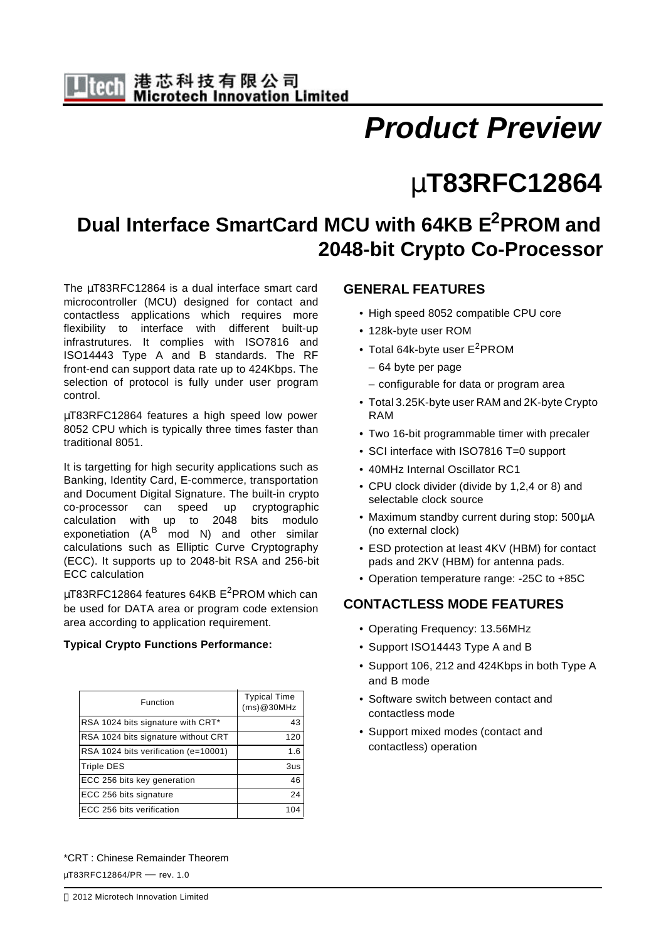# *Product Preview*

# μ**T83RFC12864**

# **Dual Interface SmartCard MCU with 64KB E2PROM and 2048-bit Crypto Co-Processor**

The μT83RFC12864 is a dual interface smart card microcontroller (MCU) designed for contact and contactless applications which requires more flexibility to interface with different built-up infrastrutures. It complies with ISO7816 and ISO14443 Type A and B standards. The RF front-end can support data rate up to 424Kbps. The selection of protocol is fully under user program control.

μT83RFC12864 features a high speed low power 8052 CPU which is typically three times faster than traditional 8051.

It is targetting for high security applications such as Banking, Identity Card, E-commerce, transportation and Document Digital Signature. The built-in crypto co-processor can speed up cryptographic calculation with up to 2048 bits modulo exponetiation (A<sup>B</sup> mod N) and other similar calculations such as Elliptic Curve Cryptography (ECC). It supports up to 2048-bit RSA and 256-bit ECC calculation

μT83RFC12864 features 64KB  $E^2$ PROM which can be used for DATA area or program code extension area according to application requirement.

#### **Typical Crypto Functions Performance:**

| Function                             | <b>Typical Time</b><br>(ms)@30MHz |
|--------------------------------------|-----------------------------------|
| RSA 1024 bits signature with CRT*    | 43                                |
| RSA 1024 bits signature without CRT  | 120                               |
| RSA 1024 bits verification (e=10001) | 1.6                               |
| <b>Triple DES</b>                    | 3us                               |
| ECC 256 bits key generation          | 46                                |
| ECC 256 bits signature               | 24                                |
| ECC 256 bits verification            |                                   |

#### **GENERAL FEATURES**

- High speed 8052 compatible CPU core
- 128k-byte user ROM
- Total 64k-byte user  $E^2$ PROM
	- 64 byte per page
	- configurable for data or program area
- Total 3.25K-byte user RAM and 2K-byte Crypto RAM
- Two 16-bit programmable timer with precaler
- SCI interface with ISO7816 T=0 support
- 40MHz Internal Oscillator RC1
- CPU clock divider (divide by 1,2,4 or 8) and selectable clock source
- Maximum standby current during stop: 500μA (no external clock)
- ESD protection at least 4KV (HBM) for contact pads and 2KV (HBM) for antenna pads.
- Operation temperature range: -25C to +85C

### **CONTACTLESS MODE FEATURES**

- Operating Frequency: 13.56MHz
- Support ISO14443 Type A and B
- Support 106, 212 and 424Kbps in both Type A and B mode
- Software switch between contact and contactless mode
- Support mixed modes (contact and contactless) operation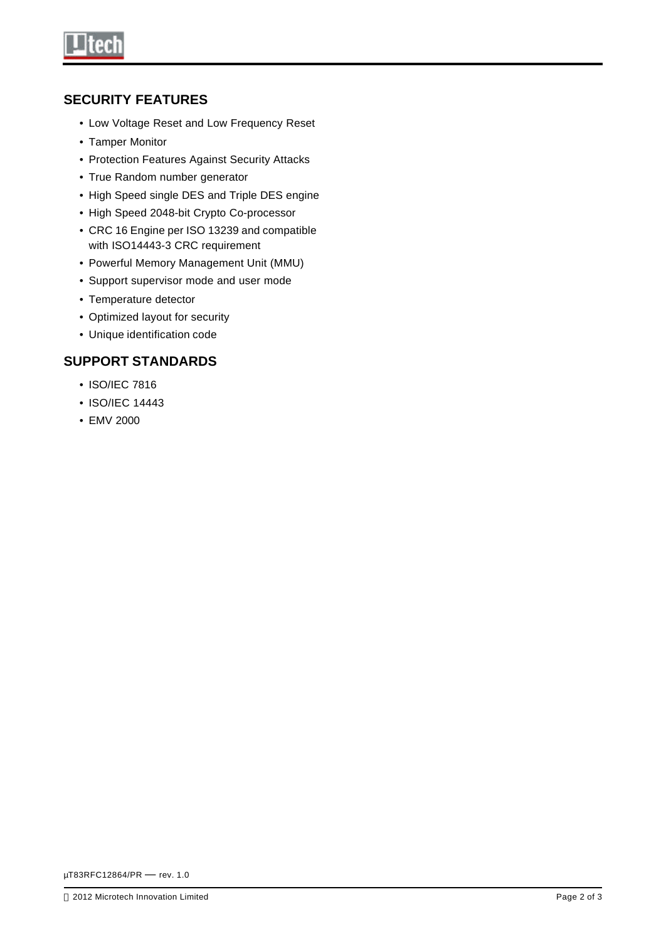

### **SECURITY FEATURES**

- Low Voltage Reset and Low Frequency Reset
- Tamper Monitor
- Protection Features Against Security Attacks
- True Random number generator
- High Speed single DES and Triple DES engine
- High Speed 2048-bit Crypto Co-processor
- CRC 16 Engine per ISO 13239 and compatible with ISO14443-3 CRC requirement
- Powerful Memory Management Unit (MMU)
- Support supervisor mode and user mode
- Temperature detector
- Optimized layout for security
- Unique identification code

## **SUPPORT STANDARDS**

- ISO/IEC 7816
- ISO/IEC 14443
- EMV 2000